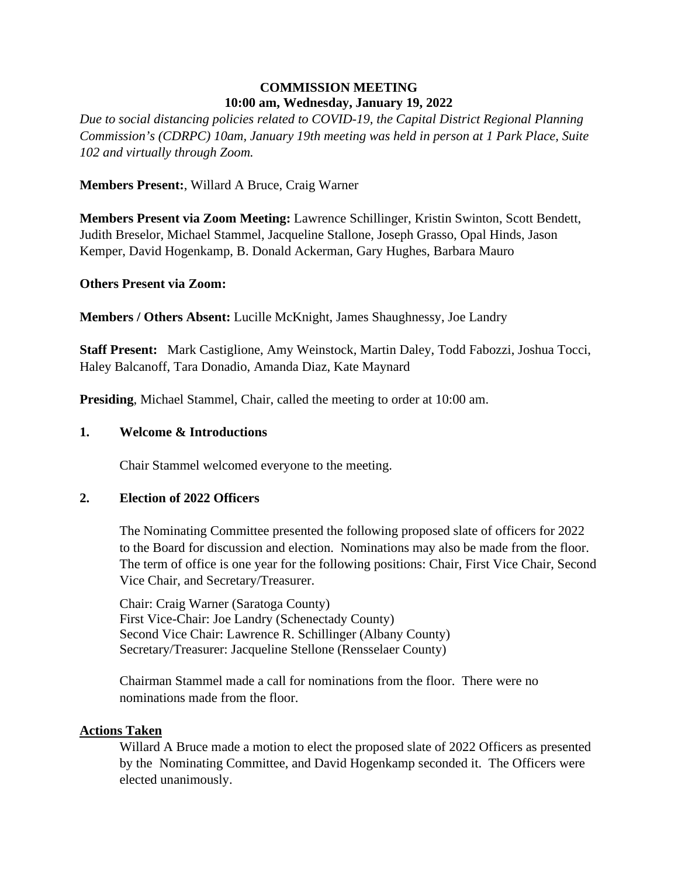# **COMMISSION MEETING 10:00 am, Wednesday, January 19, 2022**

*Due to social distancing policies related to COVID-19, the Capital District Regional Planning Commission's (CDRPC) 10am, January 19th meeting was held in person at 1 Park Place, Suite 102 and virtually through Zoom.*

## **Members Present:**, Willard A Bruce, Craig Warner

**Members Present via Zoom Meeting:** Lawrence Schillinger, Kristin Swinton, Scott Bendett, Judith Breselor, Michael Stammel, Jacqueline Stallone, Joseph Grasso, Opal Hinds, Jason Kemper, David Hogenkamp, B. Donald Ackerman, Gary Hughes, Barbara Mauro

#### **Others Present via Zoom:**

**Members / Others Absent:** Lucille McKnight, James Shaughnessy, Joe Landry

**Staff Present:** Mark Castiglione, Amy Weinstock, Martin Daley, Todd Fabozzi, Joshua Tocci, Haley Balcanoff, Tara Donadio, Amanda Diaz, Kate Maynard

**Presiding**, Michael Stammel, Chair, called the meeting to order at 10:00 am.

#### **1. Welcome & Introductions**

Chair Stammel welcomed everyone to the meeting.

# **2. Election of 2022 Officers**

The Nominating Committee presented the following proposed slate of officers for 2022 to the Board for discussion and election. Nominations may also be made from the floor. The term of office is one year for the following positions: Chair, First Vice Chair, Second Vice Chair, and Secretary/Treasurer.

Chair: Craig Warner (Saratoga County) First Vice-Chair: Joe Landry (Schenectady County) Second Vice Chair: Lawrence R. Schillinger (Albany County) Secretary/Treasurer: Jacqueline Stellone (Rensselaer County)

Chairman Stammel made a call for nominations from the floor. There were no nominations made from the floor.

#### **Actions Taken**

Willard A Bruce made a motion to elect the proposed slate of 2022 Officers as presented by the Nominating Committee, and David Hogenkamp seconded it. The Officers were elected unanimously.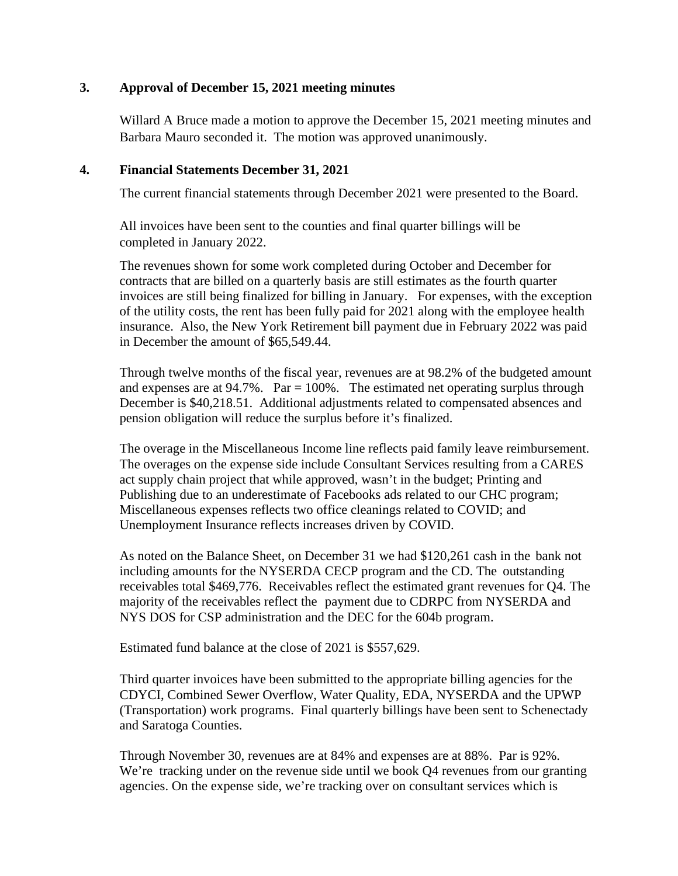### **3. Approval of December 15, 2021 meeting minutes**

Willard A Bruce made a motion to approve the December 15, 2021 meeting minutes and Barbara Mauro seconded it. The motion was approved unanimously.

#### **4. Financial Statements December 31, 2021**

The current financial statements through December 2021 were presented to the Board.

All invoices have been sent to the counties and final quarter billings will be completed in January 2022.

The revenues shown for some work completed during October and December for contracts that are billed on a quarterly basis are still estimates as the fourth quarter invoices are still being finalized for billing in January. For expenses, with the exception of the utility costs, the rent has been fully paid for 2021 along with the employee health insurance. Also, the New York Retirement bill payment due in February 2022 was paid in December the amount of \$65,549.44.

Through twelve months of the fiscal year, revenues are at 98.2% of the budgeted amount and expenses are at  $94.7\%$ . Par = 100%. The estimated net operating surplus through December is \$40,218.51. Additional adjustments related to compensated absences and pension obligation will reduce the surplus before it's finalized.

The overage in the Miscellaneous Income line reflects paid family leave reimbursement. The overages on the expense side include Consultant Services resulting from a CARES act supply chain project that while approved, wasn't in the budget; Printing and Publishing due to an underestimate of Facebooks ads related to our CHC program; Miscellaneous expenses reflects two office cleanings related to COVID; and Unemployment Insurance reflects increases driven by COVID.

As noted on the Balance Sheet, on December 31 we had \$120,261 cash in the bank not including amounts for the NYSERDA CECP program and the CD. The outstanding receivables total \$469,776. Receivables reflect the estimated grant revenues for Q4. The majority of the receivables reflect the payment due to CDRPC from NYSERDA and NYS DOS for CSP administration and the DEC for the 604b program.

Estimated fund balance at the close of 2021 is \$557,629.

Third quarter invoices have been submitted to the appropriate billing agencies for the CDYCI, Combined Sewer Overflow, Water Quality, EDA, NYSERDA and the UPWP (Transportation) work programs. Final quarterly billings have been sent to Schenectady and Saratoga Counties.

Through November 30, revenues are at 84% and expenses are at 88%. Par is 92%. We're tracking under on the revenue side until we book Q4 revenues from our granting agencies. On the expense side, we're tracking over on consultant services which is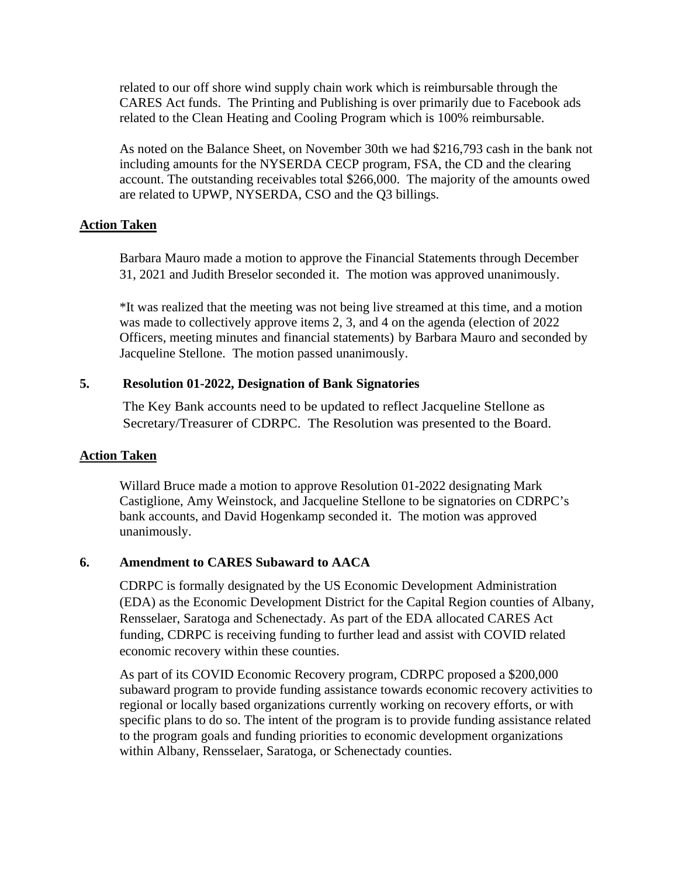related to our off shore wind supply chain work which is reimbursable through the CARES Act funds. The Printing and Publishing is over primarily due to Facebook ads related to the Clean Heating and Cooling Program which is 100% reimbursable.

As noted on the Balance Sheet, on November 30th we had \$216,793 cash in the bank not including amounts for the NYSERDA CECP program, FSA, the CD and the clearing account. The outstanding receivables total \$266,000. The majority of the amounts owed are related to UPWP, NYSERDA, CSO and the Q3 billings.

### **Action Taken**

Barbara Mauro made a motion to approve the Financial Statements through December 31, 2021 and Judith Breselor seconded it. The motion was approved unanimously.

\*It was realized that the meeting was not being live streamed at this time, and a motion was made to collectively approve items 2, 3, and 4 on the agenda (election of 2022 Officers, meeting minutes and financial statements) by Barbara Mauro and seconded by Jacqueline Stellone. The motion passed unanimously.

### **5. Resolution 01-2022, Designation of Bank Signatories**

The Key Bank accounts need to be updated to reflect Jacqueline Stellone as Secretary/Treasurer of CDRPC. The Resolution was presented to the Board.

#### **Action Taken**

Willard Bruce made a motion to approve Resolution 01-2022 designating Mark Castiglione, Amy Weinstock, and Jacqueline Stellone to be signatories on CDRPC's bank accounts, and David Hogenkamp seconded it. The motion was approved unanimously.

# **6. Amendment to CARES Subaward to AACA**

CDRPC is formally designated by the US Economic Development Administration (EDA) as the Economic Development District for the Capital Region counties of Albany, Rensselaer, Saratoga and Schenectady. As part of the EDA allocated CARES Act funding, CDRPC is receiving funding to further lead and assist with COVID related economic recovery within these counties.

As part of its COVID Economic Recovery program, CDRPC proposed a \$200,000 subaward program to provide funding assistance towards economic recovery activities to regional or locally based organizations currently working on recovery efforts, or with specific plans to do so. The intent of the program is to provide funding assistance related to the program goals and funding priorities to economic development organizations within Albany, Rensselaer, Saratoga, or Schenectady counties.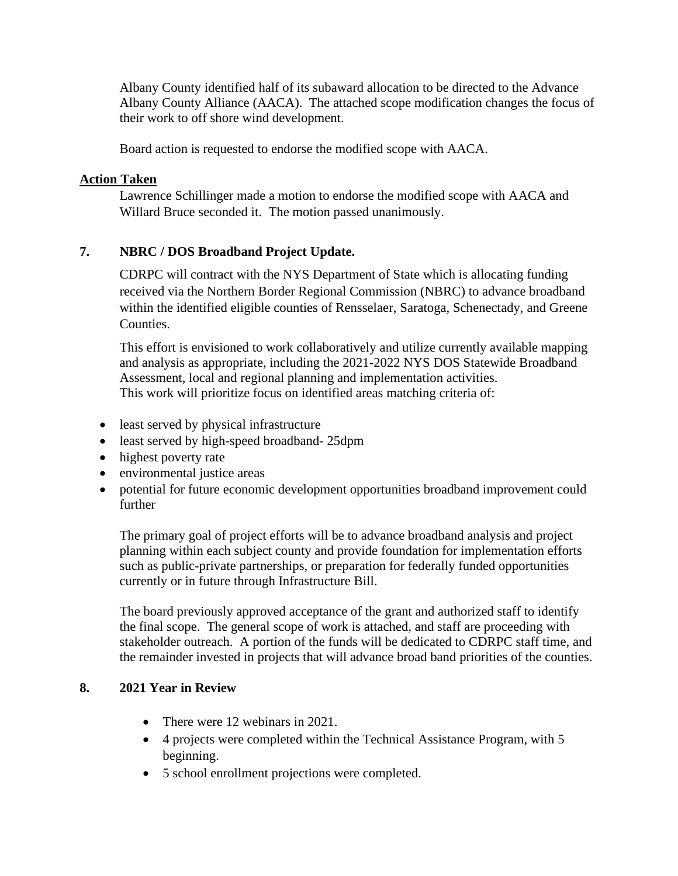Albany County identified half of its subaward allocation to be directed to the Advance Albany County Alliance (AACA). The attached scope modification changes the focus of their work to off shore wind development.

Board action is requested to endorse the modified scope with AACA.

# **Action Taken**

Lawrence Schillinger made a motion to endorse the modified scope with AACA and Willard Bruce seconded it. The motion passed unanimously.

# **7. NBRC / DOS Broadband Project Update.**

CDRPC will contract with the NYS Department of State which is allocating funding received via the Northern Border Regional Commission (NBRC) to advance broadband within the identified eligible counties of Rensselaer, Saratoga, Schenectady, and Greene Counties.

This effort is envisioned to work collaboratively and utilize currently available mapping and analysis as appropriate, including the 2021-2022 NYS DOS Statewide Broadband Assessment, local and regional planning and implementation activities. This work will prioritize focus on identified areas matching criteria of:

- least served by physical infrastructure
- least served by high-speed broadband- 25dpm
- highest poverty rate
- environmental justice areas
- potential for future economic development opportunities broadband improvement could further

The primary goal of project efforts will be to advance broadband analysis and project planning within each subject county and provide foundation for implementation efforts such as public-private partnerships, or preparation for federally funded opportunities currently or in future through Infrastructure Bill.

The board previously approved acceptance of the grant and authorized staff to identify the final scope. The general scope of work is attached, and staff are proceeding with stakeholder outreach. A portion of the funds will be dedicated to CDRPC staff time, and the remainder invested in projects that will advance broad band priorities of the counties.

# **8. 2021 Year in Review**

- There were 12 webinars in 2021.
- 4 projects were completed within the Technical Assistance Program, with 5 beginning.
- 5 school enrollment projections were completed.